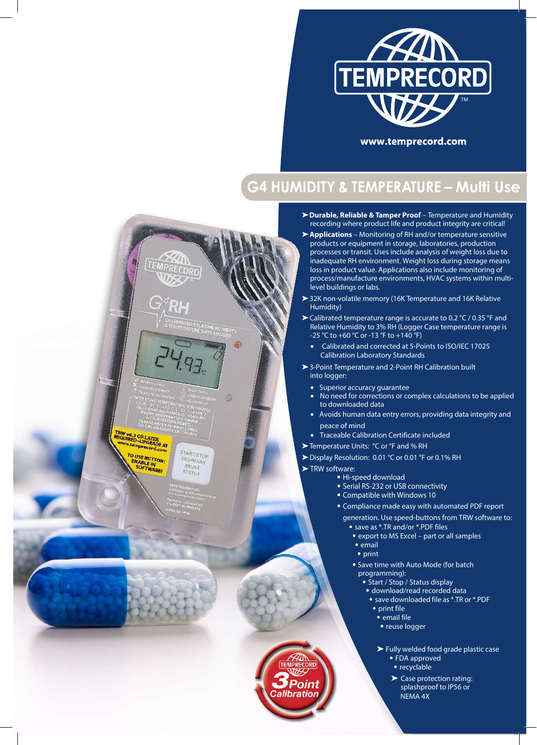

# **G4 HUMIDITY & TEMPERATURE – Multi Use**

- ➤**Durable, Reliable & Tamper Proof** Temperature and Humidity recording where product life and product integrity are critical!
- ➤**Applications** Monitoring of RH and/or temperature sensitive products or equipment in storage, laboratories, production processes or transit. Uses include analysis of weight loss due to inadequate RH environment. Weight loss during storage means loss in product value. Applications also include monitoring of process/manufacture environments, HVAC systems within multilevel buildings or labs.
- ➤32K non-volatile memory (16K Temperature and 16K Relative Humidity)
- ➤Calibrated temperature range is accurate to 0.2 °C / 0.35 °F and Relative Humidity to 3% RH (Logger Case temperature range is -25 °C to +60 °C or -13 °F to +140 °F)
	- Calibrated and corrected at 5-Points to ISO/IEC 17025 Calibration Laboratory Standards
- ▶ 3-Point Temperature and 2-Point RH Calibration built into logger:
	- Superior accuracy guarantee
	- No need for corrections or complex calculations to be applied to downloaded data
	- Avoids human data entry errors, providing data integrity and peace of mind
	- Traceable Calibration Certificate included
- ➤Temperature Units: °C or °F and % RH
- ➤Display Resolution: 0.01 °C or 0.01 °F or 0.1% RH
- ▶ TRW software:

Point alibration

O

**START/STOP** 

TAG/MARK REUSE **STATU!** 

TRW V6.3 OR LATER<br>REQUIRED - UPGRADE AT record.com

TO USE BUTTON:

- Hi-speed download
- Serial RS-232 or USB connectivity
- Compatible with Windows 10
- Compliance made easy with automated PDF report generation. Use speed-buttons from TRW software to:
	- save as \*.TR and/or \*.PDF files
	- export to MS Excel part or all samples • email
	- print
	- Save time with Auto Mode (for batch programming):
		- Start / Stop / Status display
		- download/read recorded data
		- save downloaded file as \*.TR or \*.PDF • print file
			- email file
			- reuse logger

➤ Fully welded food grade plastic case

- FDA approved
- recyclable
- ➤ Case protection rating: splashproof to IP56 or NEMA 4X